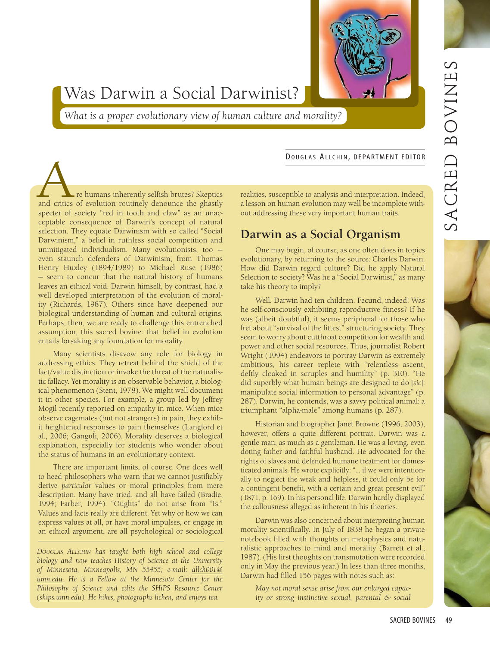

# Was Darwin a Social Darwinist?

What is a proper evolutionary view of human culture and morality?

DOUGLAS ALLCHIN, DEPARTMENT EDITOR

re humans inherently selfish brutes? Skeptics and critics of evolution routinely denounce the ghastly specter of society "red in tooth and claw" as an unacceptable consequence of Darwin's concept of natural selection. They equate Darwinism with so called "Social Darwinism," a belief in ruthless social competition and unmitigated individualism. Many evolutionists, too even staunch defenders of Darwinism, from Thomas Henry Huxley (1894/1989) to Michael Ruse (1986) - seem to concur that the natural history of humans leaves an ethical void. Darwin himself, by contrast, had a well developed interpretation of the evolution of morality (Richards, 1987). Others since have deepened our biological understanding of human and cultural origins. Perhaps, then, we are ready to challenge this entrenched assumption, this sacred bovine: that belief in evolution entails forsaking any foundation for morality.

Many scientists disavow any role for biology in addressing ethics. They retreat behind the shield of the fact/value distinction or invoke the threat of the naturalistic fallacy. Yet morality is an observable behavior, a biological phenomenon (Stent, 1978). We might well document it in other species. For example, a group led by Jeffrey Mogil recently reported on empathy in mice. When mice observe cagemates (but not strangers) in pain, they exhibit heightened responses to pain themselves (Langford et al., 2006; Ganguli, 2006). Morality deserves a biological explanation, especially for students who wonder about the status of humans in an evolutionary context.

There are important limits, of course. One does well to heed philosophers who warn that we cannot justifiably derive particular values or moral principles from mere description. Many have tried, and all have failed (Bradie, 1994; Farber, 1994). "Oughts" do not arise from "Is." Values and facts really are different. Yet why or how we can express values at all, or have moral impulses, or engage in an ethical argument, are all psychological or sociological

DOUGLAS ALLCHIN has taught both high school and college biology and now teaches History of Science at the University of Minnesota, Minneapolis, MN 55455; e-mail: allch001@ umn.edu. He is a Fellow at the Minnesota Center for the Philosophy of Science and edits the SHiPS Resource Center (ships.umn.edu). He hikes, photographs lichen, and enjoys tea.

realities, susceptible to analysis and interpretation. Indeed, a lesson on human evolution may well be incomplete without addressing these very important human traits.

## Darwin as a Social Organism

One may begin, of course, as one often does in topics evolutionary, by returning to the source: Charles Darwin. How did Darwin regard culture? Did he apply Natural Selection to society? Was he a "Social Darwinist," as many take his theory to imply?

Well, Darwin had ten children. Fecund, indeed! Was he self-consciously exhibiting reproductive fitness? If he was (albeit doubtful), it seems peripheral for those who fret about "survival of the fittest" structuring society. They seem to worry about cutthroat competition for wealth and power and other social resources. Thus, journalist Robert Wright (1994) endeavors to portray Darwin as extremely ambitious, his career replete with "relentless ascent, deftly cloaked in scruples and humility" (p. 310). "He did superbly what human beings are designed to do [sic]: manipulate social information to personal advantage" (p. 287). Darwin, he contends, was a savvy political animal: a triumphant "alpha-male" among humans (p. 287).

Historian and biographer Janet Browne (1996, 2003), however, offers a quite different portrait. Darwin was a gentle man, as much as a gentleman. He was a loving, even doting father and faithful husband. He advocated for the rights of slaves and defended humane treatment for domesticated animals. He wrote explicitly: "... if we were intentionally to neglect the weak and helpless, it could only be for a contingent benefit, with a certain and great present evil" (1871, p. 169). In his personal life, Darwin hardly displayed the callousness alleged as inherent in his theories.

Darwin was also concerned about interpreting human morality scientifically. In July of 1838 he began a private notebook filled with thoughts on metaphysics and naturalistic approaches to mind and morality (Barrett et al., 1987). (His first thoughts on transmutation were recorded only in May the previous year.) In less than three months, Darwin had filled 156 pages with notes such as:

May not moral sense arise from our enlarged capacity or strong instinctive sexual, parental & social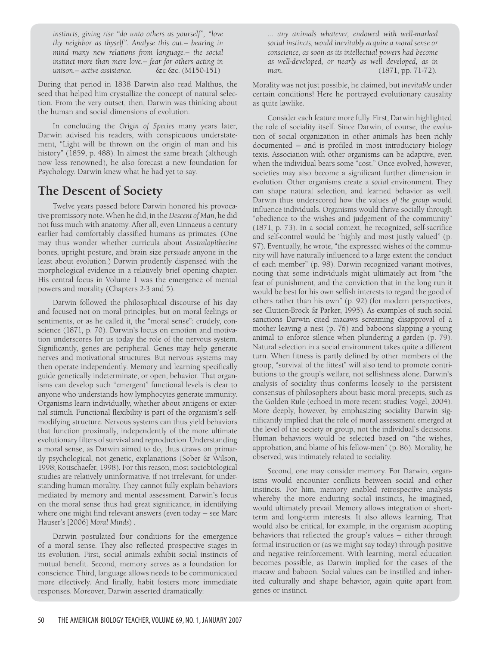instincts, giving rise "do unto others as yourself", "love thy neighbor as thyself". Analyse this out.- bearing in mind many new relations from language.- the social instinct more than mere love. - fear for others acting in unison. - active assistance. &c &c. (M150-151)

During that period in 1838 Darwin also read Malthus, the seed that helped him crystallize the concept of natural selection. From the very outset, then, Darwin was thinking about the human and social dimensions of evolution.

In concluding the Origin of Species many years later, Darwin advised his readers, with conspicuous understatement, "Light will be thrown on the origin of man and his history" (1859, p. 488). In almost the same breath (although now less renowned), he also forecast a new foundation for Psychology. Darwin knew what he had yet to say.

## The Descent of Society

Twelve years passed before Darwin honored his provocative promissory note. When he did, in the Descent of Man, he did not fuss much with anatomy. After all, even Linnaeus a century earlier had comfortably classified humans as primates. (One may thus wonder whether curricula about Australopithecine bones, upright posture, and brain size persuade anyone in the least about evolution.) Darwin prudently dispensed with the morphological evidence in a relatively brief opening chapter. His central focus in Volume 1 was the emergence of mental powers and morality (Chapters 2-3 and 5).

Darwin followed the philosophical discourse of his day and focused not on moral principles, but on moral feelings or sentiments, or as he called it, the "moral sense": crudely, conscience (1871, p. 70). Darwin's focus on emotion and motivation underscores for us today the role of the nervous system. Significantly, genes are peripheral. Genes may help generate nerves and motivational structures. But nervous systems may then operate independently. Memory and learning specifically guide genetically indeterminate, or open, behavior. That organisms can develop such "emergent" functional levels is clear to anyone who understands how lymphocytes generate immunity. Organisms learn individually, whether about antigens or external stimuli. Functional flexibility is part of the organism's selfmodifying structure. Nervous systems can thus yield behaviors that function proximally, independently of the more ultimate evolutionary filters of survival and reproduction. Understanding a moral sense, as Darwin aimed to do, thus draws on primarily psychological, not genetic, explanations (Sober & Wilson, 1998; Rottschaefer, 1998). For this reason, most sociobiological studies are relatively uninformative, if not irrelevant, for understanding human morality. They cannot fully explain behaviors mediated by memory and mental assessment. Darwin's focus on the moral sense thus had great significance, in identifying where one might find relevant answers (even today - see Marc Hauser's [2006] Moral Minds).

Darwin postulated four conditions for the emergence of a moral sense. They also reflected prospective stages in its evolution. First, social animals exhibit social instincts of mutual benefit. Second, memory serves as a foundation for conscience. Third, language allows needs to be communicated more effectively. And finally, habit fosters more immediate responses. Moreover, Darwin asserted dramatically:

... any animals whatever, endowed with well-marked social instincts, would inevitably acquire a moral sense or conscience, as soon as its intellectual powers had become as well-developed, or nearly as well developed, as in man.  $(1871, pp. 71-72).$ 

Morality was not just possible, he claimed, but inevitable under certain conditions! Here he portrayed evolutionary causality as quite lawlike.

Consider each feature more fully. First, Darwin highlighted the role of sociality itself. Since Darwin, of course, the evolution of social organization in other animals has been richly documented - and is profiled in most introductory biology texts. Association with other organisms can be adaptive, even when the individual bears some "cost." Once evolved, however, societies may also become a significant further dimension in evolution. Other organisms create a social environment. They can shape natural selection, and learned behavior as well. Darwin thus underscored how the values of the group would influence individuals. Organisms would thrive socially through "obedience to the wishes and judgement of the community" (1871, p. 73). In a social context, he recognized, self-sacrifice and self-control would be "highly and most justly valued" (p. 97). Eventually, he wrote, "the expressed wishes of the community will have naturally influenced to a large extent the conduct of each member" (p. 98). Darwin recognized variant motives, noting that some individuals might ultimately act from "the fear of punishment, and the conviction that in the long run it would be best for his own selfish interests to regard the good of others rather than his own" (p. 92) (for modern perspectives, see Clutton-Brock & Parker, 1995). As examples of such social sanctions Darwin cited macaws screaming disapproval of a mother leaving a nest (p. 76) and baboons slapping a young animal to enforce silence when plundering a garden (p. 79). Natural selection in a social environment takes quite a different turn. When fitness is partly defined by other members of the group, "survival of the fittest" will also tend to promote contributions to the group's welfare, not selfishness alone. Darwin's analysis of sociality thus conforms loosely to the persistent consensus of philosophers about basic moral precepts, such as the Golden Rule (echoed in more recent studies; Vogel, 2004). More deeply, however, by emphasizing sociality Darwin significantly implied that the role of moral assessment emerged at the level of the society or group, not the individual's decisions. Human behaviors would be selected based on "the wishes, approbation, and blame of his fellow-men" (p. 86). Morality, he observed, was intimately related to sociality.

Second, one may consider memory. For Darwin, organisms would encounter conflicts between social and other instincts. For him, memory enabled retrospective analysis whereby the more enduring social instincts, he imagined, would ultimately prevail. Memory allows integration of shortterm and long-term interests. It also allows learning. That would also be critical, for example, in the organism adopting behaviors that reflected the group's values – either through formal instruction or (as we might say today) through positive and negative reinforcement. With learning, moral education becomes possible, as Darwin implied for the cases of the macaw and baboon. Social values can be instilled and inherited culturally and shape behavior, again quite apart from genes or instinct.